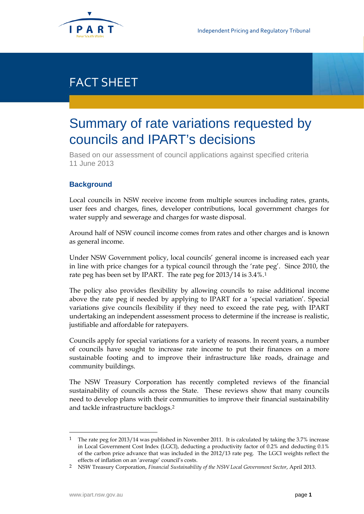

## FACT SHEET

# Summary of rate variations requested by councils and IPART's decisions

Based on our assessment of council applications against specified criteria 11 June 2013

## **Background**

Local councils in NSW receive income from multiple sources including rates, grants, user fees and charges, fines, developer contributions, local government charges for water supply and sewerage and charges for waste disposal.

Around half of NSW council income comes from rates and other charges and is known as general income.

Under NSW Government policy, local councils' general income is increased each year in line with price changes for a typical council through the 'rate peg'. Since 2010, the rate peg has been set by IPART. The rate peg for 2013/14 is 3.4%.[1](#page-0-0)

The policy also provides flexibility by allowing councils to raise additional income above the rate peg if needed by applying to IPART for a 'special variation'. Special variations give councils flexibility if they need to exceed the rate peg, with IPART undertaking an independent assessment process to determine if the increase is realistic, justifiable and affordable for ratepayers.

Councils apply for special variations for a variety of reasons. In recent years, a number of councils have sought to increase rate income to put their finances on a more sustainable footing and to improve their infrastructure like roads, drainage and community buildings.

The NSW Treasury Corporation has recently completed reviews of the financial sustainability of councils across the State. These reviews show that many councils need to develop plans with their communities to improve their financial sustainability and tackle infrastructure backlogs.[2](#page-0-1)

<span id="page-0-0"></span> <sup>1</sup> The rate peg for 2013/14 was published in November 2011. It is calculated by taking the 3.7% increase in Local Government Cost Index (LGCI), deducting a productivity factor of 0.2% and deducting 0.1% of the carbon price advance that was included in the 2012/13 rate peg. The LGCI weights reflect the effects of inflation on an 'average' council's costs.

<span id="page-0-2"></span><span id="page-0-1"></span><sup>2</sup> NSW Treasury Corporation, *Financial Sustainability of the NSW Local Government Sector*, April 2013.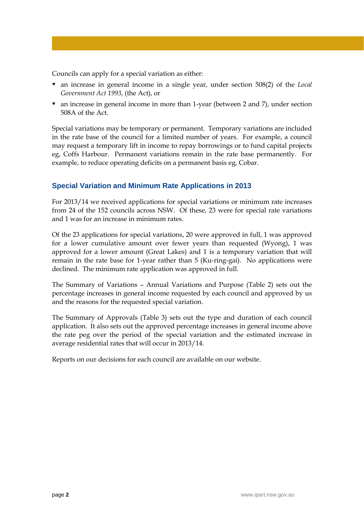Councils can apply for a special variation as either:

- an increase in general income in a single year, under section 508(2) of the *Local Government Act 1993*, (the Act), or
- an increase in general income in more than 1-year (between 2 and 7), under section 508A of the Act.

Special variations may be temporary or permanent. Temporary variations are included in the rate base of the council for a limited number of years. For example, a council may request a temporary lift in income to repay borrowings or to fund capital projects eg, Coffs Harbour. Permanent variations remain in the rate base permanently. For example, to reduce operating deficits on a permanent basis eg, Cobar.

### **Special Variation and Minimum Rate Applications in 2013**

For 2013/14 we received applications for special variations or minimum rate increases from 24 of the 152 councils across NSW. Of these, 23 were for special rate variations and 1 was for an increase in minimum rates.

Of the 23 applications for special variations, 20 were approved in full, 1 was approved for a lower cumulative amount over fewer years than requested (Wyong), 1 was approved for a lower amount (Great Lakes) and 1 is a temporary variation that will remain in the rate base for 1-year rather than 5 (Ku-ring-gai). No applications were declined. The minimum rate application was approved in full.

The Summary of Variations – Annual Variations and Purpose (Table 2) sets out the percentage increases in general income requested by each council and approved by us and the reasons for the requested special variation.

The Summary of Approvals (Table 3) sets out the type and duration of each council application. It also sets out the approved percentage increases in general income above the rate peg over the period of the special variation and the estimated increase in average residential rates that will occur in 2013/14.

Reports on our decisions for each council are available on our website.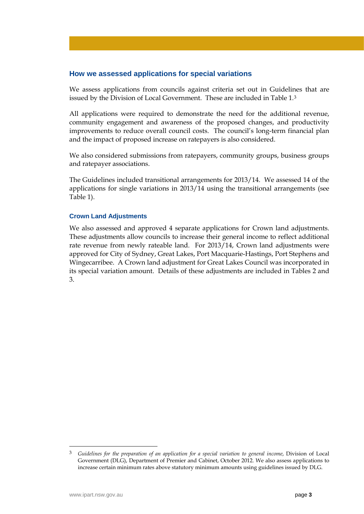#### **How we assessed applications for special variations**

We assess applications from councils against criteria set out in Guidelines that are issued by the Division of Local Government. These are included in Table 1.[3](#page-0-2)

All applications were required to demonstrate the need for the additional revenue, community engagement and awareness of the proposed changes, and productivity improvements to reduce overall council costs. The council's long-term financial plan and the impact of proposed increase on ratepayers is also considered.

We also considered submissions from ratepayers, community groups, business groups and ratepayer associations.

The Guidelines included transitional arrangements for 2013/14. We assessed 14 of the applications for single variations in 2013/14 using the transitional arrangements (see Table 1).

#### **Crown Land Adjustments**

We also assessed and approved 4 separate applications for Crown land adjustments. These adjustments allow councils to increase their general income to reflect additional rate revenue from newly rateable land. For 2013/14, Crown land adjustments were approved for City of Sydney, Great Lakes, Port Macquarie-Hastings, Port Stephens and Wingecarribee. A Crown land adjustment for Great Lakes Council was incorporated in its special variation amount. Details of these adjustments are included in Tables 2 and 3.

 <sup>3</sup> *Guidelines for the preparation of an application for a special variation to general income*, Division of Local Government (DLG), Department of Premier and Cabinet, October 2012. We also assess applications to increase certain minimum rates above statutory minimum amounts using guidelines issued by DLG.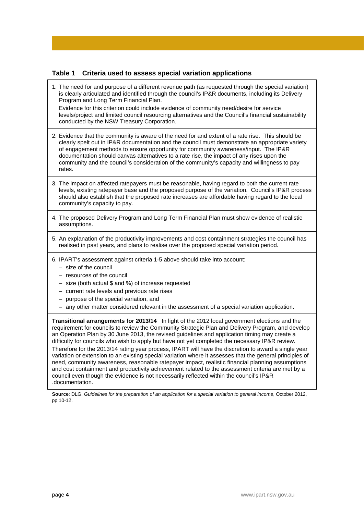#### **Table 1 Criteria used to assess special variation applications**

1. The need for and purpose of a different revenue path (as requested through the special variation) is clearly articulated and identified through the council's IP&R documents, including its Delivery Program and Long Term Financial Plan.

Evidence for this criterion could include evidence of community need/desire for service levels/project and limited council resourcing alternatives and the Council's financial sustainability conducted by the NSW Treasury Corporation.

- 2. Evidence that the community is aware of the need for and extent of a rate rise. This should be clearly spelt out in IP&R documentation and the council must demonstrate an appropriate variety of engagement methods to ensure opportunity for community awareness/input. The IP&R documentation should canvas alternatives to a rate rise, the impact of any rises upon the community and the council's consideration of the community's capacity and willingness to pay rates.
- 3. The impact on affected ratepayers must be reasonable, having regard to both the current rate levels, existing ratepayer base and the proposed purpose of the variation. Council's IP&R process should also establish that the proposed rate increases are affordable having regard to the local community's capacity to pay.
- 4. The proposed Delivery Program and Long Term Financial Plan must show evidence of realistic assumptions.
- 5. An explanation of the productivity improvements and cost containment strategies the council has realised in past years, and plans to realise over the proposed special variation period.
- 6. IPART's assessment against criteria 1-5 above should take into account:
	- size of the council
	- resources of the council
	- size (both actual \$ and %) of increase requested
	- current rate levels and previous rate rises
	- purpose of the special variation, and
	- any other matter considered relevant in the assessment of a special variation application.

**Transitional arrangements for 2013/14** In light of the 2012 local government elections and the requirement for councils to review the Community Strategic Plan and Delivery Program, and develop an Operation Plan by 30 June 2013, the revised guidelines and application timing may create a difficulty for councils who wish to apply but have not yet completed the necessary IP&R review.

Therefore for the 2013/14 rating year process, IPART will have the discretion to award a single year variation or extension to an existing special variation where it assesses that the general principles of need, community awareness, reasonable ratepayer impact, realistic financial planning assumptions and cost containment and productivity achievement related to the assessment criteria are met by a council even though the evidence is not necessarily reflected within the council's IP&R .documentation.

**Source**: DLG, *Guidelines for the preparation of an application for a special variation to general income*, October 2012, pp 10-12.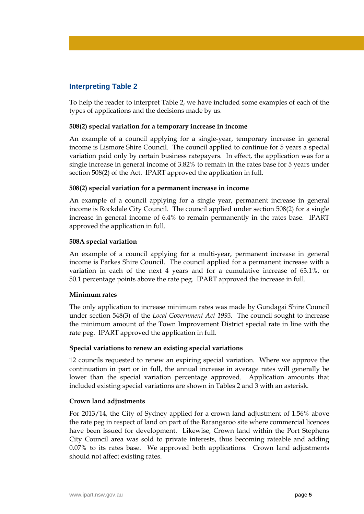### **Interpreting Table 2**

To help the reader to interpret Table 2, we have included some examples of each of the types of applications and the decisions made by us.

#### **508(2) special variation for a temporary increase in income**

An example of a council applying for a single-year, temporary increase in general income is Lismore Shire Council. The council applied to continue for 5 years a special variation paid only by certain business ratepayers. In effect, the application was for a single increase in general income of 3.82% to remain in the rates base for 5 years under section 508(2) of the Act. IPART approved the application in full.

#### **508(2) special variation for a permanent increase in income**

An example of a council applying for a single year, permanent increase in general income is Rockdale City Council. The council applied under section 508(2) for a single increase in general income of 6.4% to remain permanently in the rates base. IPART approved the application in full.

#### **508A special variation**

An example of a council applying for a multi-year, permanent increase in general income is Parkes Shire Council. The council applied for a permanent increase with a variation in each of the next 4 years and for a cumulative increase of 63.1%, or 50.1 percentage points above the rate peg. IPART approved the increase in full.

#### **Minimum rates**

The only application to increase minimum rates was made by Gundagai Shire Council under section 548(3) of the *Local Government Act 1993*. The council sought to increase the minimum amount of the Town Improvement District special rate in line with the rate peg. IPART approved the application in full.

#### **Special variations to renew an existing special variations**

12 councils requested to renew an expiring special variation. Where we approve the continuation in part or in full, the annual increase in average rates will generally be lower than the special variation percentage approved. Application amounts that included existing special variations are shown in Tables 2 and 3 with an asterisk.

#### **Crown land adjustments**

For 2013/14, the City of Sydney applied for a crown land adjustment of 1.56% above the rate peg in respect of land on part of the Barangaroo site where commercial licences have been issued for development. Likewise, Crown land within the Port Stephens City Council area was sold to private interests, thus becoming rateable and adding 0.07% to its rates base. We approved both applications. Crown land adjustments should not affect existing rates.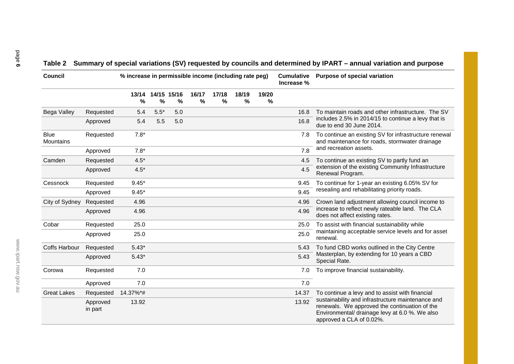## **Table 2 Summary of special variations (SV) requested by councils and determined by IPART – annual variation and purpose**

| <b>Council</b>           |                     | % increase in permissible income (including rate peg) |        |                  |                        |                        |                        |                        | <b>Cumulative</b><br>Increase % | Purpose of special variation                                                                                                                                                     |
|--------------------------|---------------------|-------------------------------------------------------|--------|------------------|------------------------|------------------------|------------------------|------------------------|---------------------------------|----------------------------------------------------------------------------------------------------------------------------------------------------------------------------------|
|                          |                     | 13/14<br>$\frac{0}{0}$                                | %      | 14/15 15/16<br>% | 16/17<br>$\frac{0}{0}$ | 17/18<br>$\frac{0}{0}$ | 18/19<br>$\frac{0}{0}$ | 19/20<br>$\frac{0}{0}$ |                                 |                                                                                                                                                                                  |
| Bega Valley              | Requested           | 5.4                                                   | $5.5*$ | 5.0              |                        |                        |                        |                        | 16.8                            | To maintain roads and other infrastructure. The SV                                                                                                                               |
|                          | Approved            | 5.4                                                   | 5.5    | 5.0              |                        |                        |                        |                        | 16.8                            | includes 2.5% in 2014/15 to continue a levy that is<br>due to end 30 June 2014.                                                                                                  |
| <b>Blue</b><br>Mountains | Requested           | $7.8*$                                                |        |                  |                        |                        |                        |                        | 7.8                             | To continue an existing SV for infrastructure renewal<br>and maintenance for roads, stormwater drainage                                                                          |
|                          | Approved            | $7.8*$                                                |        |                  |                        |                        |                        |                        | 7.8                             | and recreation assets.                                                                                                                                                           |
| Camden                   | Requested           | $4.5*$                                                |        |                  |                        |                        |                        |                        | 4.5                             | To continue an existing SV to partly fund an                                                                                                                                     |
|                          | Approved            | $4.5*$                                                |        |                  |                        |                        |                        |                        | 4.5                             | extension of the existing Community Infrastructure<br>Renewal Program.                                                                                                           |
| Cessnock                 | Requested           | $9.45*$                                               |        |                  |                        |                        |                        |                        | 9.45                            | To continue for 1-year an existing 6.05% SV for                                                                                                                                  |
|                          | Approved            | $9.45*$                                               |        |                  |                        |                        |                        |                        | 9.45                            | resealing and rehabilitating priority roads.                                                                                                                                     |
| City of Sydney           | Requested           | 4.96                                                  |        |                  |                        |                        |                        |                        | 4.96                            | Crown land adjustment allowing council income to                                                                                                                                 |
|                          | Approved            | 4.96                                                  |        |                  |                        |                        |                        |                        | 4.96                            | increase to reflect newly rateable land. The CLA<br>does not affect existing rates.                                                                                              |
| Cobar                    | Requested           | 25.0                                                  |        |                  |                        |                        |                        |                        | 25.0                            | To assist with financial sustainability while                                                                                                                                    |
|                          | Approved            | 25.0                                                  |        |                  |                        |                        |                        |                        | 25.0                            | maintaining acceptable service levels and for asset<br>renewal.                                                                                                                  |
| <b>Coffs Harbour</b>     | Requested           | $5.43*$                                               |        |                  |                        |                        |                        |                        | 5.43                            | To fund CBD works outlined in the City Centre                                                                                                                                    |
|                          | Approved            | $5.43*$                                               |        |                  |                        |                        |                        |                        | 5.43                            | Masterplan, by extending for 10 years a CBD<br>Special Rate.                                                                                                                     |
| Corowa                   | Requested           | 7.0                                                   |        |                  |                        |                        |                        |                        | 7.0                             | To improve financial sustainability.                                                                                                                                             |
|                          | Approved            | 7.0                                                   |        |                  |                        |                        |                        |                        | 7.0                             |                                                                                                                                                                                  |
| <b>Great Lakes</b>       | Requested           | 14.37%*#                                              |        |                  |                        |                        |                        |                        | 14.37                           | To continue a levy and to assist with financial                                                                                                                                  |
|                          | Approved<br>in part | 13.92                                                 |        |                  |                        |                        |                        |                        | 13.92                           | sustainability and infrastructure maintenance and<br>renewals. We approved the continuation of the<br>Environmental/ drainage levy at 6.0 %. We also<br>approved a CLA of 0.02%. |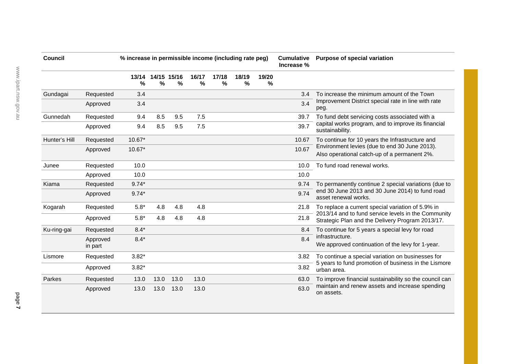| <b>Council</b> |                     | % increase in permissible income (including rate peg) |                  |      |            |            |               |            | <b>Cumulative</b><br>Increase % | <b>Purpose of special variation</b>                                                                     |  |
|----------------|---------------------|-------------------------------------------------------|------------------|------|------------|------------|---------------|------------|---------------------------------|---------------------------------------------------------------------------------------------------------|--|
|                |                     | 13/14<br>%                                            | 14/15 15/16<br>% | $\%$ | 16/17<br>% | 17/18<br>% | 18/19<br>$\%$ | 19/20<br>% |                                 |                                                                                                         |  |
| Gundagai       | Requested           | 3.4                                                   |                  |      |            |            |               |            | 3.4                             | To increase the minimum amount of the Town                                                              |  |
|                | Approved            | 3.4                                                   |                  |      |            |            |               |            | 3.4                             | Improvement District special rate in line with rate<br>peg.                                             |  |
| Gunnedah       | Requested           | 9.4                                                   | 8.5              | 9.5  | 7.5        |            |               |            | 39.7                            | To fund debt servicing costs associated with a                                                          |  |
|                | Approved            | 9.4                                                   | 8.5              | 9.5  | 7.5        |            |               |            | 39.7                            | capital works program, and to improve its financial<br>sustainability.                                  |  |
| Hunter's Hill  | Requested           | $10.67*$                                              |                  |      |            |            |               |            | 10.67                           | To continue for 10 years the Infrastructure and                                                         |  |
|                | Approved            | 10.67*                                                |                  |      |            |            |               |            | 10.67                           | Environment levies (due to end 30 June 2013).<br>Also operational catch-up of a permanent 2%.           |  |
| Junee          | Requested           | 10.0                                                  |                  |      |            |            |               |            | 10.0                            | To fund road renewal works.                                                                             |  |
|                | Approved            | 10.0                                                  |                  |      |            |            |               |            | 10.0                            |                                                                                                         |  |
| Kiama          | Requested           | $9.74*$                                               |                  |      |            |            |               |            | 9.74                            | To permanently continue 2 special variations (due to                                                    |  |
|                | Approved            | $9.74*$                                               |                  |      |            |            |               |            | 9.74                            | end 30 June 2013 and 30 June 2014) to fund road<br>asset renewal works.                                 |  |
| Kogarah        | Requested           | $5.8*$                                                | 4.8              | 4.8  | 4.8        |            |               |            | 21.8                            | To replace a current special variation of 5.9% in                                                       |  |
|                | Approved            | $5.8*$                                                | 4.8              | 4.8  | 4.8        |            |               |            | 21.8                            | 2013/14 and to fund service levels in the Community<br>Strategic Plan and the Delivery Program 2013/17. |  |
| Ku-ring-gai    | Requested           | $8.4*$                                                |                  |      |            |            |               |            | 8.4                             | To continue for 5 years a special levy for road                                                         |  |
|                | Approved<br>in part | $8.4*$                                                |                  |      |            |            |               |            | 8.4                             | infrastructure.<br>We approved continuation of the levy for 1-year.                                     |  |
| Lismore        | Requested           | $3.82*$                                               |                  |      |            |            |               |            | 3.82                            | To continue a special variation on businesses for                                                       |  |
|                | Approved            | $3.82*$                                               |                  |      |            |            |               |            | 3.82                            | 5 years to fund promotion of business in the Lismore<br>urban area.                                     |  |
| Parkes         | Requested           | 13.0                                                  | 13.0             | 13.0 | 13.0       |            |               |            | 63.0                            | To improve financial sustainability so the council can                                                  |  |
|                | Approved            | 13.0                                                  | 13.0             | 13.0 | 13.0       |            |               |            | 63.0                            | maintain and renew assets and increase spending<br>on assets.                                           |  |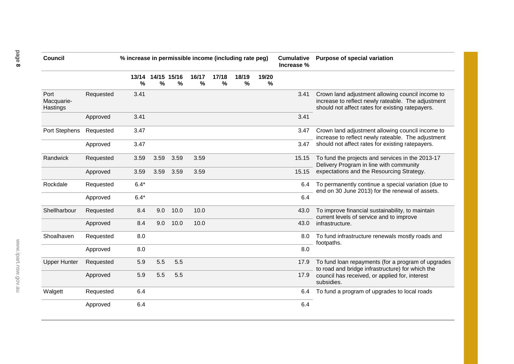| <b>Council</b>                 |           | % increase in permissible income (including rate peg) |                  |      |            |            |                        |            | <b>Cumulative</b><br>Increase % | <b>Purpose of special variation</b>                                                                                                                        |  |
|--------------------------------|-----------|-------------------------------------------------------|------------------|------|------------|------------|------------------------|------------|---------------------------------|------------------------------------------------------------------------------------------------------------------------------------------------------------|--|
|                                |           | 13/14<br>%                                            | 14/15 15/16<br>% | $\%$ | 16/17<br>% | 17/18<br>% | 18/19<br>$\frac{0}{0}$ | 19/20<br>% |                                 |                                                                                                                                                            |  |
| Port<br>Macquarie-<br>Hastings | Requested | 3.41                                                  |                  |      |            |            |                        |            | 3.41                            | Crown land adjustment allowing council income to<br>increase to reflect newly rateable. The adjustment<br>should not affect rates for existing ratepayers. |  |
|                                | Approved  | 3.41                                                  |                  |      |            |            |                        |            | 3.41                            |                                                                                                                                                            |  |
| Port Stephens                  | Requested | 3.47                                                  |                  |      |            |            |                        |            | 3.47                            | Crown land adjustment allowing council income to<br>increase to reflect newly rateable. The adjustment                                                     |  |
|                                | Approved  | 3.47                                                  |                  |      |            |            |                        |            | 3.47                            | should not affect rates for existing ratepayers.                                                                                                           |  |
| Randwick                       | Requested | 3.59                                                  | 3.59             | 3.59 | 3.59       |            |                        |            | 15.15                           | To fund the projects and services in the 2013-17<br>Delivery Program in line with community                                                                |  |
|                                | Approved  | 3.59                                                  | 3.59             | 3.59 | 3.59       |            |                        |            | 15.15                           | expectations and the Resourcing Strategy.                                                                                                                  |  |
| Rockdale                       | Requested | $6.4*$                                                |                  |      |            |            |                        |            | 6.4                             | To permanently continue a special variation (due to<br>end on 30 June 2013) for the renewal of assets.                                                     |  |
|                                | Approved  | $6.4*$                                                |                  |      |            |            |                        |            | 6.4                             |                                                                                                                                                            |  |
| Shellharbour                   | Requested | 8.4                                                   | 9.0              | 10.0 | 10.0       |            |                        |            | 43.0                            | To improve financial sustainability, to maintain<br>current levels of service and to improve                                                               |  |
|                                | Approved  | 8.4                                                   | 9.0              | 10.0 | 10.0       |            |                        |            | 43.0                            | infrastructure.                                                                                                                                            |  |
| Shoalhaven                     | Requested | 8.0                                                   |                  |      |            |            |                        |            | 8.0                             | To fund infrastructure renewals mostly roads and<br>footpaths.                                                                                             |  |
|                                | Approved  | 8.0                                                   |                  |      |            |            |                        |            | 8.0                             |                                                                                                                                                            |  |
| <b>Upper Hunter</b>            | Requested | 5.9                                                   | 5.5              | 5.5  |            |            |                        |            | 17.9                            | To fund loan repayments (for a program of upgrades<br>to road and bridge infrastructure) for which the                                                     |  |
|                                | Approved  | 5.9                                                   | 5.5              | 5.5  |            |            |                        |            | 17.9                            | council has received, or applied for, interest<br>subsidies.                                                                                               |  |
| Walgett                        | Requested | 6.4                                                   |                  |      |            |            |                        |            | 6.4                             | To fund a program of upgrades to local roads                                                                                                               |  |
|                                | Approved  | 6.4                                                   |                  |      |            |            |                        |            | 6.4                             |                                                                                                                                                            |  |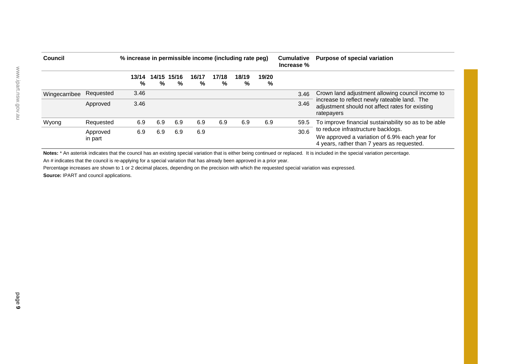| Council       |                     | % increase in permissible income (including rate peg) |     |                  |            |            |            |            | <b>Cumulative</b><br>Increase % | <b>Purpose of special variation</b>                                                                                               |  |
|---------------|---------------------|-------------------------------------------------------|-----|------------------|------------|------------|------------|------------|---------------------------------|-----------------------------------------------------------------------------------------------------------------------------------|--|
|               |                     | 13/14<br>%                                            | %   | 14/15 15/16<br>% | 16/17<br>% | 17/18<br>% | 18/19<br>% | 19/20<br>% |                                 |                                                                                                                                   |  |
| Wingecarribee | Requested           | 3.46                                                  |     |                  |            |            |            |            | 3.46                            | Crown land adjustment allowing council income to                                                                                  |  |
|               | Approved            | 3.46                                                  |     |                  |            |            |            |            | 3.46                            | increase to reflect newly rateable land. The<br>adjustment should not affect rates for existing<br>ratepayers                     |  |
| Wyong         | Requested           | 6.9                                                   | 6.9 | 6.9              | 6.9        | 6.9        | 6.9        | 6.9        | 59.5                            | To improve financial sustainability so as to be able                                                                              |  |
|               | Approved<br>in part | 6.9                                                   | 6.9 | 6.9              | 6.9        |            |            |            | 30.6                            | to reduce infrastructure backlogs.<br>We approved a variation of 6.9% each year for<br>4 years, rather than 7 years as requested. |  |

Notes: \* An asterisk indicates that the council has an existing special variation that is either being continued or replaced. It is included in the special variation percentage.

An # indicates that the council is re-applying for a special variation that has already been approved in a prior year.

Percentage increases are shown to 1 or 2 decimal places, depending on the precision with which the requested special variation was expressed. **Source:** IPART and council applications.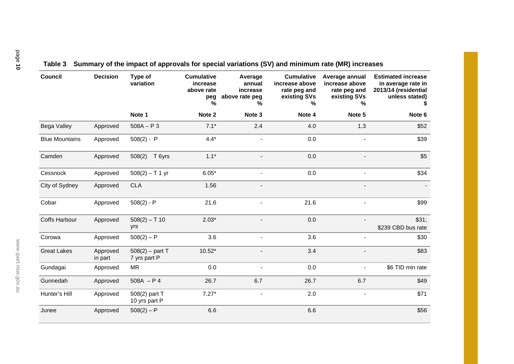| <b>Council</b>        | <b>Decision</b>     | Type of<br>variation              | <b>Cumulative</b><br>increase<br>above rate<br>peg<br>% | Average<br>annual<br>increase<br>above rate peg<br>℅ | <b>Cumulative</b><br>increase above<br>rate peg and<br>existing SVs<br>% | Average annual<br>increase above<br>rate peg and<br>existing SVs<br>℅ | <b>Estimated increase</b><br>in average rate in<br>2013/14 (residential<br>unless stated) |
|-----------------------|---------------------|-----------------------------------|---------------------------------------------------------|------------------------------------------------------|--------------------------------------------------------------------------|-----------------------------------------------------------------------|-------------------------------------------------------------------------------------------|
|                       |                     | Note 1                            | Note 2                                                  | Note 3                                               | Note 4                                                                   | Note 5                                                                | Note 6                                                                                    |
| Bega Valley           | Approved            | $508A - P3$                       | $7.1*$                                                  | 2.4                                                  | 4.0                                                                      | 1.3                                                                   | \$52                                                                                      |
| <b>Blue Mountains</b> | Approved            | $508(2) - P$                      | $4.4*$                                                  |                                                      | 0.0                                                                      | $\overline{a}$                                                        | \$39                                                                                      |
| Camden                | Approved            | 508(2)<br>T 6yrs                  | $1.1*$                                                  |                                                      | 0.0                                                                      |                                                                       | \$5                                                                                       |
| Cessnock              | Approved            | $508(2) - T$ 1 yr                 | $6.05*$                                                 |                                                      | 0.0                                                                      | $\overline{a}$                                                        | \$34                                                                                      |
| City of Sydney        | Approved            | <b>CLA</b>                        | 1.56                                                    |                                                      |                                                                          | $\overline{a}$                                                        |                                                                                           |
| Cobar                 | Approved            | $508(2) - P$                      | 21.6                                                    |                                                      | 21.6                                                                     |                                                                       | \$99                                                                                      |
| Coffs Harbour         | Approved            | $508(2) - T$ 10<br>yrs            | $2.03*$                                                 |                                                      | 0.0                                                                      |                                                                       | \$31;<br>\$239 CBD bus rate                                                               |
| Corowa                | Approved            | $508(2) - P$                      | 3.6                                                     |                                                      | 3.6                                                                      |                                                                       | \$30                                                                                      |
| <b>Great Lakes</b>    | Approved<br>in part | $508(2) -$ part T<br>7 yrs part P | $10.52*$                                                |                                                      | 3.4                                                                      |                                                                       | \$83                                                                                      |
| Gundagai              | Approved            | <b>MR</b>                         | 0.0                                                     |                                                      | 0.0                                                                      | $\overline{\phantom{0}}$                                              | \$6 TID min rate                                                                          |
| Gunnedah              | Approved            | $508A - P4$                       | 26.7                                                    | 6.7                                                  | 26.7                                                                     | 6.7                                                                   | \$49                                                                                      |
| Hunter's Hill         | Approved            | 508(2) part T<br>10 yrs part P    | $7.27*$                                                 |                                                      | 2.0                                                                      | $\qquad \qquad \blacksquare$                                          | \$71                                                                                      |
| Junee                 | Approved            | $508(2) - P$                      | 6.6                                                     |                                                      | 6.6                                                                      |                                                                       | \$56                                                                                      |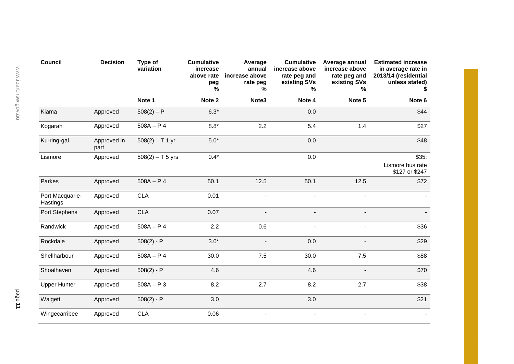| <b>Council</b>              | <b>Decision</b>     | Type of<br>variation | <b>Cumulative</b><br>increase<br>above rate<br>peg<br>℅ | Average<br>annual<br>increase above<br>rate peg<br>℅ | <b>Cumulative</b><br>increase above<br>rate peg and<br>existing SVs<br>% | Average annual<br>increase above<br>rate peg and<br>existing SVs<br>% | <b>Estimated increase</b><br>in average rate in<br>2013/14 (residential<br>unless stated) |
|-----------------------------|---------------------|----------------------|---------------------------------------------------------|------------------------------------------------------|--------------------------------------------------------------------------|-----------------------------------------------------------------------|-------------------------------------------------------------------------------------------|
|                             |                     | Note 1               | Note 2                                                  | Note3                                                | Note 4                                                                   | Note 5                                                                | Note 6                                                                                    |
| Kiama                       | Approved            | $508(2) - P$         | $6.3*$                                                  |                                                      | 0.0                                                                      |                                                                       | \$44                                                                                      |
| Kogarah                     | Approved            | $508A - P4$          | $8.8*$                                                  | 2.2                                                  | 5.4                                                                      | 1.4                                                                   | \$27                                                                                      |
| Ku-ring-gai                 | Approved in<br>part | $508(2) - T$ 1 yr    | $5.0*$                                                  |                                                      | 0.0                                                                      |                                                                       | \$48                                                                                      |
| Lismore                     | Approved            | $508(2) - T$ 5 yrs   | $0.4*$                                                  |                                                      | 0.0                                                                      |                                                                       | \$35;<br>Lismore bus rate<br>\$127 or \$247                                               |
| Parkes                      | Approved            | $508A - P4$          | 50.1                                                    | 12.5                                                 | 50.1                                                                     | 12.5                                                                  | \$72                                                                                      |
| Port Macquarie-<br>Hastings | Approved            | <b>CLA</b>           | 0.01                                                    | $\overline{a}$                                       | $\sim$                                                                   | $\blacksquare$                                                        |                                                                                           |
| Port Stephens               | Approved            | <b>CLA</b>           | 0.07                                                    | $\overline{a}$                                       | $\overline{\phantom{a}}$                                                 | $\blacksquare$                                                        |                                                                                           |
| Randwick                    | Approved            | $508A - P4$          | 2.2                                                     | 0.6                                                  | $\blacksquare$                                                           | $\blacksquare$                                                        | \$36                                                                                      |
| Rockdale                    | Approved            | $508(2) - P$         | $3.0*$                                                  | $\blacksquare$                                       | 0.0                                                                      | $\blacksquare$                                                        | \$29                                                                                      |
| Shellharbour                | Approved            | $508A - P4$          | 30.0                                                    | 7.5                                                  | 30.0                                                                     | 7.5                                                                   | \$88                                                                                      |
| Shoalhaven                  | Approved            | $508(2) - P$         | 4.6                                                     |                                                      | 4.6                                                                      |                                                                       | \$70                                                                                      |
| <b>Upper Hunter</b>         | Approved            | $508A - P$ 3         | 8.2                                                     | 2.7                                                  | 8.2                                                                      | 2.7                                                                   | \$38                                                                                      |
| Walgett                     | Approved            | $508(2) - P$         | 3.0                                                     |                                                      | 3.0                                                                      |                                                                       | \$21                                                                                      |
| Wingecarribee               | Approved            | <b>CLA</b>           | 0.06                                                    | $\overline{\phantom{0}}$                             | $\sim$                                                                   |                                                                       |                                                                                           |